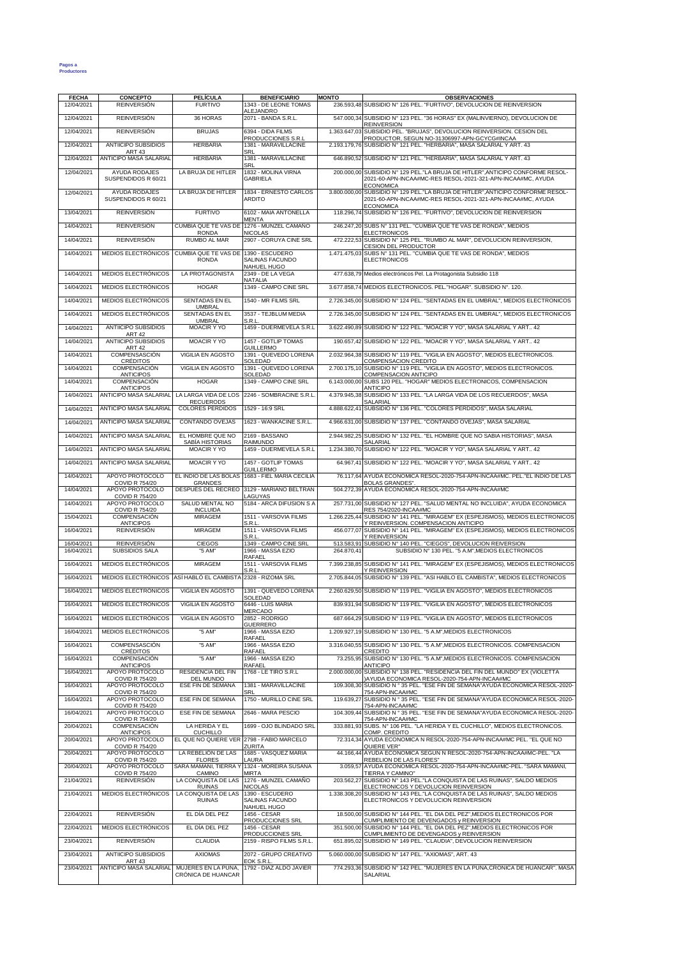## **Pagos a Productores**

| <b>FECHA</b><br>12/04/2021 | <b>CONCEPTO</b><br><b>REINVERSIÓN</b>                    | <b>PELÍCULA</b><br><b>FURTIVO</b>                    | <b>BENEFICIARIO</b><br>1343 - DE LEONE TOMAS                                | <b>MONTO</b> | <b>OBSERVACIONES</b><br>236.593,48 SUBSIDIO Nº 126 PEL. "FURTIVO", DEVOLUCION DE REINVERSION                                                                                             |
|----------------------------|----------------------------------------------------------|------------------------------------------------------|-----------------------------------------------------------------------------|--------------|------------------------------------------------------------------------------------------------------------------------------------------------------------------------------------------|
| 12/04/2021                 | <b>REINVERSIÓN</b>                                       | 36 HORAS                                             | ALEJANDRO<br>2071 - BANDA S.R.L.                                            |              | 547.000,34 SUBSIDIO Nº 123 PEL. "36 HORAS" EX (MALINVIERNO), DEVOLUCION DE<br><b>REINVERSION</b>                                                                                         |
| 12/04/2021                 | <b>REINVERSIÓN</b>                                       | <b>BRUJAS</b>                                        | 6394 - DIDA FILMS                                                           |              | 1.363.647,03 SUBSIDIO PEL. "BRUJAS", DEVOLUCION REINVERSION. CESION DEL                                                                                                                  |
| 12/04/2021                 | <b>ANTIICIPO SUBSIDIOS</b>                               | <b>HERBARIA</b>                                      | PRODUCCIONES S.R.L<br>1381 - MARAVILLACINE                                  |              | PRODUCTOR, SEGUN NO-31306997-APN-GCYCG#INCAA<br>2.193.179,76 SUBSIDIO Nº 121 PEL. "HERBARIA", MASA SALARIAL Y ART. 43                                                                    |
| 12/04/2021                 | <b>ART 43</b><br><b>ANTICIPO MASA SALARIAL</b>           | <b>HERBARIA</b>                                      | SRL<br>1381 - MARAVILLACINE                                                 |              | 646.890,52 SUBSIDIO Nº 121 PEL. "HERBARIA", MASA SALARIAL Y ART. 43                                                                                                                      |
| 12/04/2021                 | <b>AYUDA RODAJES</b><br>SUSPENDIDOS R 60/21              | LA BRUJA DE HITLER                                   | SRL<br>1832 - MOLINA VIRNA<br><b>GABRIELA</b>                               |              | 200.000,00 SUBSIDIO N° 129 PEL."LA BRUJA DE HITLER", ANTICIPO CONFORME RESOL-<br>2021-60-APN-INCAA#MC-RES RESOL-2021-321-APN-INCAA#MC, AYUDA<br><b>ECONOMICA</b>                         |
| 12/04/2021                 | AYUDA RODAJES<br>SUSPENDIDOS R 60/21                     | LA BRUJA DE HITLER                                   | 1834 - ERNESTO CARLOS<br><b>ARDITO</b>                                      |              | 3.800.000,00 SUBSIDIO N° 129 PEL."LA BRUJA DE HITLER", ANTICIPO CONFORME RESOL-<br>2021-60-APN-INCAA#MC-RES RESOL-2021-321-APN-INCAA#MC, AYUDA<br><b>ECONOMICA</b>                       |
| 13/04/2021                 | <b>REINVERSIÓN</b>                                       | <b>FURTIVO</b>                                       | 6102 - MAIA ANTONELLA                                                       |              | 118.296,74 SUBSIDIO Nº 126 PEL. "FURTIVO", DEVOLUCION DE REINVERSION                                                                                                                     |
| 14/04/2021                 | <b>REINVERSIÓN</b>                                       | <b>RONDA</b>                                         | <b>MENTA</b><br>CUMBIA QUE TE VAS DE 1276 - MUNZEL CAMAÑO<br><b>NICOLAS</b> |              | 246.247.20 SUBS N° 131 PEL. "CUMBIA QUE TE VAS DE RONDA", MEDIOS<br><b>ELECTRONICOS</b>                                                                                                  |
| 14/04/2021                 | <b>REINVERSIÓN</b>                                       | RUMBO AL MAR                                         | 2907 - CORUYA CINE SRL                                                      |              | 472.222,53 SUBSIDIO Nº 125 PEL. "RUMBO AL MAR", DEVOLUCION REINVERSION,<br>CESION DEL PRODUCTOR                                                                                          |
| 14/04/2021                 | MEDIOS ELECTRÓNICOS                                      | CUMBIA QUE TE VAS DE 1390 - ESCUDERO<br><b>RONDA</b> | SALINAS FACUNDO                                                             |              | 1.471.475,03 SUBS N° 131 PEL. "CUMBIA QUE TE VAS DE RONDA", MEDIOS<br><b>ELECTRONICOS</b>                                                                                                |
| 14/04/2021                 | MEDIOS ELECTRÓNICOS                                      | LA PROTAGONISTA                                      | NAHUEL HUGO<br>2349 - DE LA VEGA                                            |              | 477.638,79 Medios electrónicos Pel. La Protagonista Subsidio 118                                                                                                                         |
| 14/04/2021                 | MEDIOS ELECTRÓNICOS                                      | <b>HOGAR</b>                                         | NATALIA<br>1349 - CAMPO CINE SRL                                            |              | 3.677.858,74 MEDIOS ELECTRONICOS. PEL. "HOGAR". SUBSIDIO Nº. 120.                                                                                                                        |
| 14/04/2021                 | MEDIOS ELECTRÓNICOS                                      | SENTADAS EN EL                                       | 1540 - MR FILMS SRL                                                         |              | 2.726.345,00 SUBSIDIO N° 124 PEL. "SENTADAS EN EL UMBRAL", MEDIOS ELECTRONICOS                                                                                                           |
| 14/04/2021                 | MEDIOS ELECTRÓNICOS                                      | <b>UMBRAL</b><br>SENTADAS EN EL                      | 3537 - TEJBLUM MEDIA                                                        |              | 2.726.345,00 SUBSIDIO N° 124 PEL. "SENTADAS EN EL UMBRAL", MEDIOS ELECTRONICOS                                                                                                           |
| 14/04/2021                 | ANTIICIPO SUBSIDIOS                                      | <b>UMBRAL</b><br><b>MOACIR Y YO</b>                  | S.R.L<br>1459 - DUERMEVELA S.R.L                                            |              | 3.622.490,89 SUBSIDIO N° 122 PEL. "MOACIR Y YO", MASA SALARIAL Y ART 42                                                                                                                  |
|                            | <b>ART 42</b><br>ANTIICIPO SUBSIDIOS                     | MOACIR Y YO                                          |                                                                             |              | 190.657,42 SUBSIDIO Nº 122 PEL. "MOACIR Y YO", MASA SALARIAL Y ART 42                                                                                                                    |
| 14/04/2021                 | <b>ART 42</b>                                            |                                                      | 1457 - GOTLIP TOMAS<br><b>GUILLERMO</b>                                     |              | 2.032.964,38 SUBSIDIO N° 119 PEL. "VIGILIA EN AGOSTO", MEDIOS ELECTRONICOS.                                                                                                              |
| 14/04/2021                 | COMPENSASCIÓN<br>CRÉDITOS                                | VIGILIA EN AGOSTO                                    | 1391 - QUEVEDO LORENA<br>SOLEDAD                                            |              | COMPENSACION CREDITO                                                                                                                                                                     |
| 14/04/2021                 | <b>COMPENSACIÓN</b><br><b>ANTICIPOS</b>                  | VIGILIA EN AGOSTO                                    | 1391 - QUEVEDO LORENA<br>SOLEDAD                                            |              | 2.700.175,10 SUBSIDIO Nº 119 PEL. "VIGILIA EN AGOSTO", MEDIOS ELECTRONICOS.<br>COMPENSACION ANTICIPO                                                                                     |
| 14/04/2021                 | COMPENSACIÓN<br><b>ANTICIPOS</b>                         | <b>HOGAR</b>                                         | 1349 - CAMPO CINE SRL                                                       |              | 6.143.000,00 SUBS 120 PEL. "HOGAR" MEDIOS ELECTRONICOS, COMPENSACION<br><b>ANTICIPO</b>                                                                                                  |
| 14/04/2021                 | ANTICIPO MASA SALARIAL                                   | LA LARGA VIDA DE LOS<br><b>RECUERODS</b>             | 2246 - SOMBRACINE S.R.L                                                     |              | 4.379.945,38 SUBSIDIO Nº 133 PEL. "LA LARGA VIDA DE LOS RECUERDOS", MASA<br><b>SALARIAL</b>                                                                                              |
| 14/04/2021                 | ANTICIPO MASA SALARIAL                                   | <b>COLORES PERDIDOS</b>                              | 1529 - 16:9 SRL                                                             |              | 4.888.622,41 SUBSIDIO Nº 136 PEL. "COLORES PERDIDOS", MASA SALARIAL                                                                                                                      |
| 14/04/2021                 | ANTICIPO MASA SALARIAL                                   | CONTANDO OVEJAS                                      | 1623 - WANKACINE S.R.L                                                      |              | 4.966.631.00 SUBSIDIO N° 137 PEL. "CONTANDO OVEJAS", MASA SALARIAL                                                                                                                       |
| 14/04/2021                 | ANTICIPO MASA SALARIAL                                   | EL HOMBRE QUE NO<br>SABÍA HISTORIAS                  | 2169 - BASSANO<br>RAIMUNDO                                                  |              | 2.944.982,25 SUBSIDIO N° 132 PEL. "EL HOMBRE QUE NO SABIA HISTORIAS", MASA<br>SALARIAL                                                                                                   |
| 14/04/2021                 | ANTICIPO MASA SALARIAL                                   | MOACIR Y YO                                          | 1459 - DUERMEVELA S.R.L                                                     |              | 1.234.380,70 SUBSIDIO Nº 122 PEL. "MOACIR Y YO", MASA SALARIAL Y ART 42                                                                                                                  |
| 14/04/2021                 | ANTICIPO MASA SALARIAL                                   | <b>MOACIR Y YO</b>                                   | 1457 - GOTLIP TOMAS<br><b>GUILLERMO</b>                                     |              | 64.967,41 SUBSIDIO N° 122 PEL. "MOACIR Y YO", MASA SALARIAL Y ART 42                                                                                                                     |
| 14/04/2021                 | APOYO PROTOCOLO<br><b>COVID R 754/20</b>                 | EL INDIO DE LAS BOLAS<br><b>GRANDES</b>              | 1683 - FIEL MARIA CECILIA                                                   |              | 76.117,64 AYUDA ECONOMICA RESOL-2020-754-APN-INCAA#MC. PEL."EL INDIO DE LAS<br><b>BOLAS GRANDES"</b>                                                                                     |
| 14/04/2021                 | APOYO PROTOCOLO<br><b>COVID R 754/20</b>                 | DESPUÉS DEL RECREO                                   | 3129 - MARIANO BELTRAN<br>LAGUYAS                                           |              | 504.272,39 AYUDA ECONOMICA RESOL-2020-754-APN-INCAA#MC                                                                                                                                   |
| 14/04/2021<br>15/04/2021   | APOYO PROTOCOLO<br><b>COVID R 754/20</b><br>COMPENSACIÓN | SALUD MENTAL NO<br><b>INCLUIDA</b><br><b>MIRAGEM</b> | 5184 - ARCA DIFUSION S A<br>1511 - VARSOVIA FILMS                           |              | 257.731,00 SUBSIDIO Nº 127 PEL. "SALUD MENTAL NO INCLUIDA", AYUDA ECONOMICA<br>RES 754/2020-INCAA#MC<br>1.266.225,44 SUBSIDIO Nº 141 PEL. "MIRAGEM" EX (ESPEJISMOS), MEDIOS ELECTRONICOS |
| 16/04/2021                 | <b>ANTICIPOS</b><br><b>REINVERSIÓN</b>                   | <b>MIRAGEM</b>                                       | S.R.L.<br>1511 - VARSOVIA FILMS                                             | 456.077,07   | Y REINVERSION. COMPENSACION ANTICIPO<br>SUBSIDIO Nº 141 PEL. "MIRAGEM" EX (ESPEJISMOS), MEDIOS ELECTRONICOS                                                                              |
| 16/04/2021                 | <b>REINVERSIÓN</b>                                       | <b>CIEGOS</b>                                        | S.R.L<br>1349 - CAMPO CINE SRL                                              |              | Y REINVERSION<br>513.583,91 SUBSIDIO N° 140 PEL. "CIEGOS", DEVOLUCION REIVERSION                                                                                                         |
| 16/04/2021                 | SUBSIDIOS SALA                                           | "5 AM"                                               | 1966 - MASSA EZIO<br>RAFAEL                                                 | 264.870,41   | SUBSIDIO Nº 130 PEL. "5 A.M", MEDIOS ELECTRONICOS                                                                                                                                        |
| 16/04/2021                 | MEDIOS ELECTRÓNICOS                                      | <b>MIRAGEM</b>                                       | 1511 - VARSOVIA FILMS<br>S.R.L                                              |              | 7.399.238,85 SUBSIDIO N° 141 PEL. "MIRAGEM" EX (ESPEJISMOS), MEDIOS ELECTRONICOS<br>Y REINVERSION                                                                                        |
| 16/04/2021                 | MEDIOS ELECTRÓNICOS                                      | ASÍ HABLÓ EL CAMBISTA                                | 2328 - RIZOMA SRL                                                           |              | 2.705.844,05 SUBSIDIO N° 139 PEL. "ASI HABLO EL CAMBISTA", MEDIOS ELECTRONICOS                                                                                                           |
| 16/04/2021                 | MEDIOS ELECTRÓNICOS                                      | VIGILIA EN AGOSTO                                    | 1391 - QUEVEDO LORENA<br>SOLEDAD                                            |              | 2.260.629,50 SUBSIDIO Nº 119 PEL. "VIGILIA EN AGOSTO", MEDIOS ELECTRONICOS                                                                                                               |
| 16/04/2021                 | MEDIOS ELECTRÓNICOS                                      | VIGILIA EN AGOSTO                                    | 6446 - LUIS MARIA<br>MERCADO                                                |              | 839.931,94 SUBSIDIO Nº 119 PEL. "VIGILIA EN AGOSTO", MEDIOS ELECTRONICOS                                                                                                                 |
| 16/04/2021                 | MEDIOS ELECTRÓNICOS                                      | <b>VIGILIA EN AGOSTO</b>                             | 2852 - RODRIGO<br><b>GUERRERO</b>                                           |              | 687.664,29 SUBSIDIO N° 119 PEL. "VIGILIA EN AGOSTO", MEDIOS ELECTRONICOS                                                                                                                 |
| 16/04/2021                 | MEDIOS ELECTRÓNICOS                                      | "5 AM"                                               | 1966 - MASSA EZIO<br><b>RAFAEL</b>                                          |              | 1.209.927,19 SUBSIDIO Nº 130 PEL. "5 A.M", MEDIOS ELECTRONICOS                                                                                                                           |
| 16/04/2021                 | <b>COMPENSASCIÓN</b><br>CRÉDITOS                         | "5 AM"                                               | 1966 - MASSA EZIO<br>RAFAEL                                                 |              | 3.316.040.55 SUBSIDIO N° 130 PEL. "5 A.M".MEDIOS ELECTRONICOS, COMPENSACION<br>CREDITO                                                                                                   |
| 16/04/2021                 | <b>COMPENSACIÓN</b><br><b>ANTICIPOS</b>                  | "5 AM"                                               | 1966 - MASSA EZIO<br><b>RAFAEL</b>                                          |              | 73.255.95 SUBSIDIO N° 130 PEL. "5 A.M". MEDIOS ELECTRONICOS, COMPENSACION<br><b>ANTICIPO</b>                                                                                             |
| 16/04/2021                 | APOYO PROTOCOLO<br><b>COVID R 754/20</b>                 | RESIDENCIA DEL FIN<br>DEL MUNDO                      | 1768 - LE TIRO S.R.L                                                        |              | 2.000.000,00 SUBSIDIO Nº 138 PEL. "RESIDENCIA DEL FIN DEL MUNDO" EX (VIOLETTA<br>)AYUDA ECONOMICA RESOL-2020-754-APN-INCAA#MC                                                            |
| 16/04/2021                 | APOYO PROTOCOLO<br><b>COVID R 754/20</b>                 | ESE FIN DE SEMANA                                    | 1381 - MARAVILLACINE<br>SRL                                                 |              | 109.308,30 SUBSIDIO N ° 35 PEL. "ESE FIN DE SEMANA"AYUDA ECONOMICA RESOL-2020-<br>754-APN-INCAA#MC                                                                                       |
| 16/04/2021                 | APOYO PROTOCOLO<br><b>COVID R 754/20</b>                 | ESE FIN DE SEMANA                                    | 1750 - MURILLO CINE SRL                                                     | 119.639,27   | SUBSIDIO N ° 35 PEL. "ESE FIN DE SEMANA"AYUDA ECONOMICA RESOL-2020-<br>754-APN-INCAA#MC                                                                                                  |
| 16/04/2021                 | APOYO PROTOCOLO<br><b>COVID R 754/20</b>                 | <b>ESE FIN DE SEMANA</b>                             | 2646 - MARA PESCIO                                                          |              | 104.309,44 SUBSIDIO N ° 35 PEL. "ESE FIN DE SEMANA"AYUDA ECONOMICA RESOL-2020-<br>754-APN-INCAA#MC                                                                                       |
| 20/04/2021                 | COMPENSACIÓN<br><b>ANTICIPOS</b>                         | LA HERIDA Y EL<br><b>CUCHILLO</b>                    | 1699 - OJO BLINDADO SRL                                                     |              | 333.881,93 SUBS. N° 106 PEL. "LA HERIDA Y EL CUCHILLO", MEDIOS ELECTRONICOS.<br>COMP. CREDITO                                                                                            |
| 20/04/2021                 | APOYO PROTOCOLO<br><b>COVID R 754/20</b>                 | EL QUE NO QUIERE VER 2798 - FABIO MARCELO            | ZURITA                                                                      |              | 72.314,34 AYUDA ECONOMICA N RESOL-2020-754-APN-INCAA#MC PEL. "EL QUE NO<br>QUIERE VER"                                                                                                   |
| 20/04/2021                 | APOYO PROTOCOLO<br><b>COVID R 754/20</b>                 | LA REBELIÓN DE LAS<br><b>FLORES</b>                  | 1685 - VASQUEZ MARIA<br>LAURA                                               |              | 44.166,44 AYUDA ECONOMICA SEGUN N RESOL-2020-754-APN-INCAA#MC-PEL. "LA<br>REBELION DE LAS FLORES"                                                                                        |
| 20/04/2021                 | APOYO PROTOCOLO<br><b>COVID R 754/20</b>                 | SARA MAMANI, TIERRA Y<br>CAMINO                      | 1324 - MOREIRA SUSANA<br><b>MIRTA</b>                                       |              | 3.059,57 AYUDA ECONOMICA RESOL-2020-754-APN-INCAA#MC-PEL. "SARA MAMANI,<br>TIERRA Y CAMINO"                                                                                              |
| 21/04/2021                 | <b>REINVERSIÓN</b>                                       | LA CONQUISTA DE LAS<br><b>RUINAS</b>                 | 1276 - MUNZEL CAMAÑO<br><b>NICOLAS</b>                                      |              | 203.562,27 SUBSIDIO Nº 143 PEL. LA CONQUISTA DE LAS RUINAS", SALDO MEDIOS<br>ELECTRONICOS Y DEVOLUCION REINVERSION                                                                       |
| 21/04/2021                 | MEDIOS ELECTRÓNICOS                                      | LA CONQUISTA DE LAS<br><b>RUINAS</b>                 | 1390 - ESCUDERO<br>SALINAS FACUNDO                                          |              | 1.338.308,20 SUBSIDIO Nº 143 PEL."LA CONQUISTA DE LAS RUINAS", SALDO MEDIOS<br>ELECTRONICOS Y DEVOLUCION REINVERSION                                                                     |
| 22/04/2021                 | <b>REINVERSIÓN</b>                                       | EL DÍA DEL PEZ                                       | NAHUEL HUGO<br>1456 - CESAR                                                 |              | 18.500,00 SUBSIDIO N° 144 PEL. "EL DIA DEL PEZ", MEDIOS ELECTRONICOS POR                                                                                                                 |
| 22/04/2021                 | MEDIOS ELECTRÓNICOS                                      | EL DÍA DEL PEZ                                       | PRODUCCIONES SRL<br>1456 - CESAR                                            |              | CUMPLIMIENTO DE DEVENGADOS y REINVERSION<br>351.500,00 SUBSIDIO N° 144 PEL. "EL DIA DEL PEZ", MEDIOS ELECTRONICOS POR                                                                    |
| 23/04/2021                 | <b>REINVERSIÓN</b>                                       | CLAUDIA                                              | PRODUCCIONES SRL<br>2159 - RISPO FILMS S.R.L.                               |              | CUMPLIMIENTO DE DEVENGADOS y REINVERSION<br>651.895,02 SUBSIDIO Nº 149 PEL. "CLAUDIA", DEVOLUCION REINVERSION                                                                            |
| 23/04/2021                 | ANTIICIPO SUBSIDIOS                                      | <b>AXIOMAS</b>                                       | 2072 - GRUPO CREATIVO                                                       |              | 5.060.000,00 SUBSIDIO N° 147 PEL. "AXIOMAS", ART. 43                                                                                                                                     |
| 23/04/2021                 | ART 43<br>ANTICIPO MASA SALARIAL                         | MUJERES EN LA PUNA,                                  | EOK S.R.L<br>1792 - DIAZ ALDO JAVIER                                        |              | 774.293,36 SUBSIDIO Nº 142 PEL. "MUJERES EN LA PUNA, CRONICA DE HUANCAR". MASA                                                                                                           |
|                            |                                                          | CRÓNICA DE HUANCAR                                   |                                                                             |              | SALARIAL                                                                                                                                                                                 |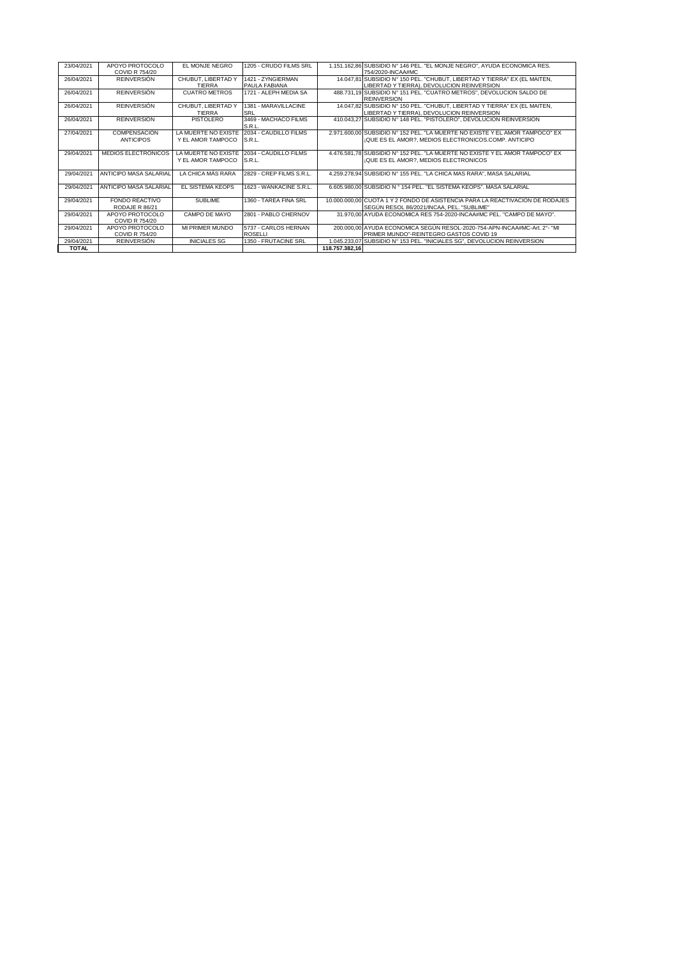| 23/04/2021   | APOYO PROTOCOLO        | <b>EL MONJE NEGRO</b> | 1205 - CRUDO FILMS SRL   |                | 1.151.162,86 SUBSIDIO N° 146 PEL. "EL MONJE NEGRO", AYUDA ECONOMICA RES.      |
|--------------|------------------------|-----------------------|--------------------------|----------------|-------------------------------------------------------------------------------|
|              | COVID R 754/20         |                       |                          |                | 754/2020-INCAA#MC                                                             |
| 26/04/2021   | <b>REINVERSIÓN</b>     | CHUBUT, LIBERTAD Y    | 1421 - ZYNGIERMAN        |                | 14.047,81 SUBSIDIO N° 150 PEL. "CHUBUT, LIBERTAD Y TIERRA" EX (EL MAITEN,     |
|              |                        | TIERRA                | PAULA FABIANA            |                | LIBERTAD Y TIERRA). DEVOLUCION REINVERSION                                    |
| 26/04/2021   | <b>REINVERSIÓN</b>     | <b>CUATRO METROS</b>  | 1721 - ALEPH MEDIA SA    |                | 488.731,19 SUBSIDIO Nº 151 PEL. "CUATRO METROS", DEVOLUCION SALDO DE          |
|              |                        |                       |                          |                | <b>REINVERSION</b>                                                            |
| 26/04/2021   | <b>REINVERSIÓN</b>     | CHUBUT, LIBERTAD Y    | 1381 - MARAVILLACINE     |                | 14.047,82 SUBSIDIO Nº 150 PEL. "CHUBUT, LIBERTAD Y TIERRA" EX (EL MAITEN,     |
|              |                        | <b>TIERRA</b>         | SRL                      |                | LIBERTAD Y TIERRA). DEVOLUCION REINVERSION                                    |
| 26/04/2021   | <b>REINVERSIÓN</b>     | <b>PISTOLERO</b>      | 3469 - MACHACO FILMS     |                | 410.043,27 SUBSIDIO Nº 148 PEL. "PISTOLERO", DEVOLUCION REINVERSION           |
|              |                        |                       | S.R.L.                   |                |                                                                               |
| 27/04/2021   | <b>COMPENSACIÓN</b>    | LA MUERTE NO EXISTE   | 2034 - CAUDILLO FILMS    |                | 2.971.600.00 SUBSIDIO N° 152 PEL. "LA MUERTE NO EXISTE Y EL AMOR TAMPOCO" EX  |
|              | <b>ANTICIPOS</b>       | Y EL AMOR TAMPOCO     | S.R.L.                   |                | ¡QUE ES EL AMOR?. MEDIOS ELECTRONICOS.COMP. ANTICIPO                          |
|              |                        |                       |                          |                |                                                                               |
| 29/04/2021   | MEDIOS ELECTRÓNICOS    | LA MUERTE NO EXISTE   | 2034 - CAUDILLO FILMS    |                | 4.476.581.78 SUBSIDIO N° 152 PEL. "LA MUERTE NO EXISTE Y EL AMOR TAMPOCO" EX  |
|              |                        | Y EL AMOR TAMPOCO     | S.R.L.                   |                | ¡QUE ES EL AMOR?. MEDIOS ELECTRONICOS                                         |
|              |                        |                       |                          |                |                                                                               |
| 29/04/2021   | ANTICIPO MASA SALARIAL | LA CHICA MÁS RARA     | 2829 - CREP FILMS S.R.L. |                | 4.259.278,94 SUBSIDIO N° 155 PEL. "LA CHICA MAS RARA", MASA SALARIAL          |
|              |                        |                       |                          |                |                                                                               |
| 29/04/2021   | ANTICIPO MASA SALARIAL | EL SISTEMA KEOPS      | 1623 - WANKACINE S.R.L.  |                | 6.605.980.00 SUBSIDIO N ° 154 PEL. "EL SISTEMA KEOPS". MASA SALARIAL          |
|              |                        |                       |                          |                |                                                                               |
| 29/04/2021   | FONDO REACTIVO         | SUBLIME               | 1360 - TARFA FINA SRL    |                | 10.000.000.00 CUOTA 1 Y 2 FONDO DE ASISTENCIA PARA LA REACTIVACION DE RODAJES |
|              | RODAJE R 86/21         |                       |                          |                | SEGÚN RESOL 86/2021/INCAA. PEL. "SUBLIME"                                     |
| 29/04/2021   | APOYO PROTOCOLO        | CAMPO DE MAYO         | 2801 - PABLO CHERNOV     |                | 31.970.00 AYUDA ECONOMICA RES 754-2020-INCAA#MC PEL. "CAMPO DE MAYO".         |
|              | <b>COVID R 754/20</b>  |                       |                          |                |                                                                               |
| 29/04/2021   | APOYO PROTOCOLO        | MI PRIMER MUNDO       | 5737 - CARLOS HERNAN     |                | 200.000.00 AYUDA ECONOMICA SEGÚN RESOL-2020-754-APN-INCAA#MC-Art. 2°- "MI     |
|              | <b>COVID R 754/20</b>  |                       | <b>ROSELLI</b>           |                | PRIMER MUNDO"-REINTEGRO GASTOS COVID 19                                       |
| 29/04/2021   | <b>REINVERSIÓN</b>     | <b>INICIALES SG</b>   | 1350 - FRUTACINE SRL     |                | 1.045.233,07 SUBSIDIO N° 153 PEL. "INICIALES SG", DEVOLUCION REINVERSION      |
| <b>TOTAL</b> |                        |                       |                          | 118.757.382.16 |                                                                               |